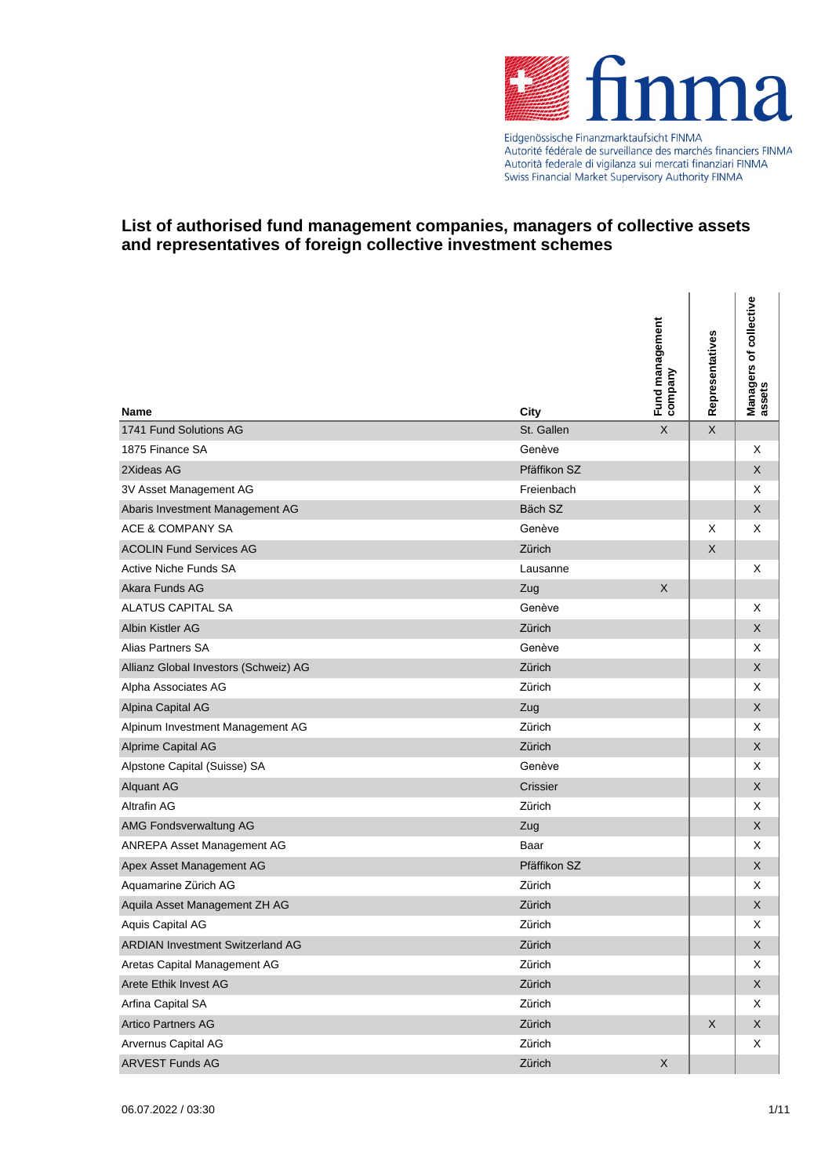

Eidgenössische Finanzmarktaufsicht FINMA Autorité fédérale de surveillance des marchés financiers FINMA<br>Autorité fédérale de surveillance des marchés financiers FINMA Swiss Financial Market Supervisory Authority FINMA

| <b>Name</b>                             | City         | Fund management<br>company | Representatives | Managers of collective<br>assets |
|-----------------------------------------|--------------|----------------------------|-----------------|----------------------------------|
| 1741 Fund Solutions AG                  | St. Gallen   | $\times$                   | $\mathsf X$     |                                  |
| 1875 Finance SA                         | Genève       |                            |                 | Χ                                |
| 2Xideas AG                              | Pfäffikon SZ |                            |                 | X                                |
| 3V Asset Management AG                  | Freienbach   |                            |                 | Χ                                |
| Abaris Investment Management AG         | Bäch SZ      |                            |                 | X                                |
| ACE & COMPANY SA                        | Genève       |                            | Х               | Χ                                |
| <b>ACOLIN Fund Services AG</b>          | Zürich       |                            | $\mathsf X$     |                                  |
| Active Niche Funds SA                   | Lausanne     |                            |                 | Χ                                |
| Akara Funds AG                          | Zug          | $\mathsf X$                |                 |                                  |
| <b>ALATUS CAPITAL SA</b>                | Genève       |                            |                 | Χ                                |
| Albin Kistler AG                        | Zürich       |                            |                 | X                                |
| Alias Partners SA                       | Genève       |                            |                 | X                                |
| Allianz Global Investors (Schweiz) AG   | Zürich       |                            |                 | X                                |
| Alpha Associates AG                     | Zürich       |                            |                 | Χ                                |
| Alpina Capital AG                       | Zug          |                            |                 | X                                |
| Alpinum Investment Management AG        | Zürich       |                            |                 | X                                |
| <b>Alprime Capital AG</b>               | Zürich       |                            |                 | X                                |
| Alpstone Capital (Suisse) SA            | Genève       |                            |                 | X                                |
| <b>Alquant AG</b>                       | Crissier     |                            |                 | X                                |
| <b>Altrafin AG</b>                      | Zürich       |                            |                 | X                                |
| AMG Fondsverwaltung AG                  | Zug          |                            |                 | X                                |
| ANREPA Asset Management AG              | Baar         |                            |                 | Χ                                |
| Apex Asset Management AG                | Pfäffikon SZ |                            |                 | X                                |
| Aquamarine Zürich AG                    | Zürich       |                            |                 | X                                |
| Aquila Asset Management ZH AG           | Zürich       |                            |                 | X                                |
| Aquis Capital AG                        | Zürich       |                            |                 | X                                |
| <b>ARDIAN Investment Switzerland AG</b> | Zürich       |                            |                 | X                                |
| Aretas Capital Management AG            | Zürich       |                            |                 | X                                |
| Arete Ethik Invest AG                   | Zürich       |                            |                 | X                                |
| Arfina Capital SA                       | Zürich       |                            |                 | X                                |
| <b>Artico Partners AG</b>               | Zürich       |                            | $\mathsf X$     | X                                |
| Arvernus Capital AG                     | Zürich       |                            |                 | X                                |
| <b>ARVEST Funds AG</b>                  | Zürich       | X                          |                 |                                  |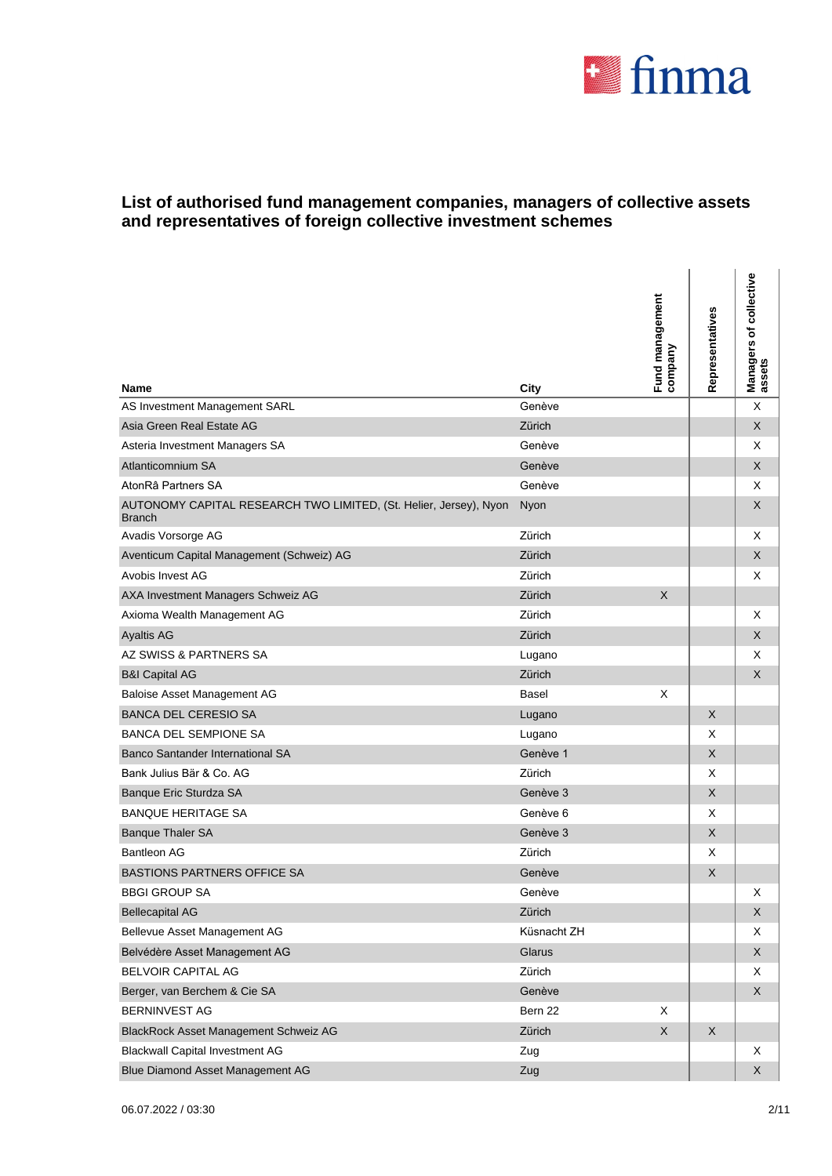

| Name                                                                               | City        | Fund management<br>company | Representatives | Managers of collective<br>assets |
|------------------------------------------------------------------------------------|-------------|----------------------------|-----------------|----------------------------------|
| AS Investment Management SARL                                                      | Genève      |                            |                 | X                                |
| Asia Green Real Estate AG                                                          | Zürich      |                            |                 | X                                |
| Asteria Investment Managers SA                                                     | Genève      |                            |                 | Χ                                |
| Atlanticomnium SA                                                                  | Genève      |                            |                 | X                                |
| AtonRâ Partners SA                                                                 | Genève      |                            |                 | Χ                                |
| AUTONOMY CAPITAL RESEARCH TWO LIMITED, (St. Helier, Jersey), Nyon<br><b>Branch</b> | Nyon        |                            |                 | X                                |
| Avadis Vorsorge AG                                                                 | Zürich      |                            |                 | Χ                                |
| Aventicum Capital Management (Schweiz) AG                                          | Zürich      |                            |                 | X                                |
| Avobis Invest AG                                                                   | Zürich      |                            |                 | Χ                                |
| AXA Investment Managers Schweiz AG                                                 | Zürich      | X                          |                 |                                  |
| Axioma Wealth Management AG                                                        | Zürich      |                            |                 | Χ                                |
| <b>Ayaltis AG</b>                                                                  | Zürich      |                            |                 | X                                |
| AZ SWISS & PARTNERS SA                                                             | Lugano      |                            |                 | X                                |
| <b>B&amp;I Capital AG</b>                                                          | Zürich      |                            |                 | X                                |
| Baloise Asset Management AG                                                        | Basel       | X                          |                 |                                  |
| <b>BANCA DEL CERESIO SA</b>                                                        | Lugano      |                            | $\mathsf{X}$    |                                  |
| <b>BANCA DEL SEMPIONE SA</b>                                                       | Lugano      |                            | X               |                                  |
| Banco Santander International SA                                                   | Genève 1    |                            | X               |                                  |
| Bank Julius Bär & Co. AG                                                           | Zürich      |                            | X               |                                  |
| Banque Eric Sturdza SA                                                             | Genève 3    |                            | X               |                                  |
| <b>BANQUE HERITAGE SA</b>                                                          | Genève 6    |                            | X               |                                  |
| <b>Banque Thaler SA</b>                                                            | Genève 3    |                            | X               |                                  |
| Bantleon AG                                                                        | Zürich      |                            | X               |                                  |
| <b>BASTIONS PARTNERS OFFICE SA</b>                                                 | Genève      |                            | $\mathsf X$     |                                  |
| <b>BBGI GROUP SA</b>                                                               | Genève      |                            |                 | Χ                                |
| <b>Bellecapital AG</b>                                                             | Zürich      |                            |                 | X                                |
| Bellevue Asset Management AG                                                       | Küsnacht ZH |                            |                 | Χ                                |
| Belvédère Asset Management AG                                                      | Glarus      |                            |                 | X                                |
| BELVOIR CAPITAL AG                                                                 | Zürich      |                            |                 | X                                |
| Berger, van Berchem & Cie SA                                                       | Genève      |                            |                 | X                                |
| <b>BERNINVEST AG</b>                                                               | Bern 22     | Χ                          |                 |                                  |
| BlackRock Asset Management Schweiz AG                                              | Zürich      | $\mathsf X$                | $\mathsf X$     |                                  |
| <b>Blackwall Capital Investment AG</b>                                             | Zug         |                            |                 | Χ                                |
| Blue Diamond Asset Management AG                                                   | Zug         |                            |                 | X                                |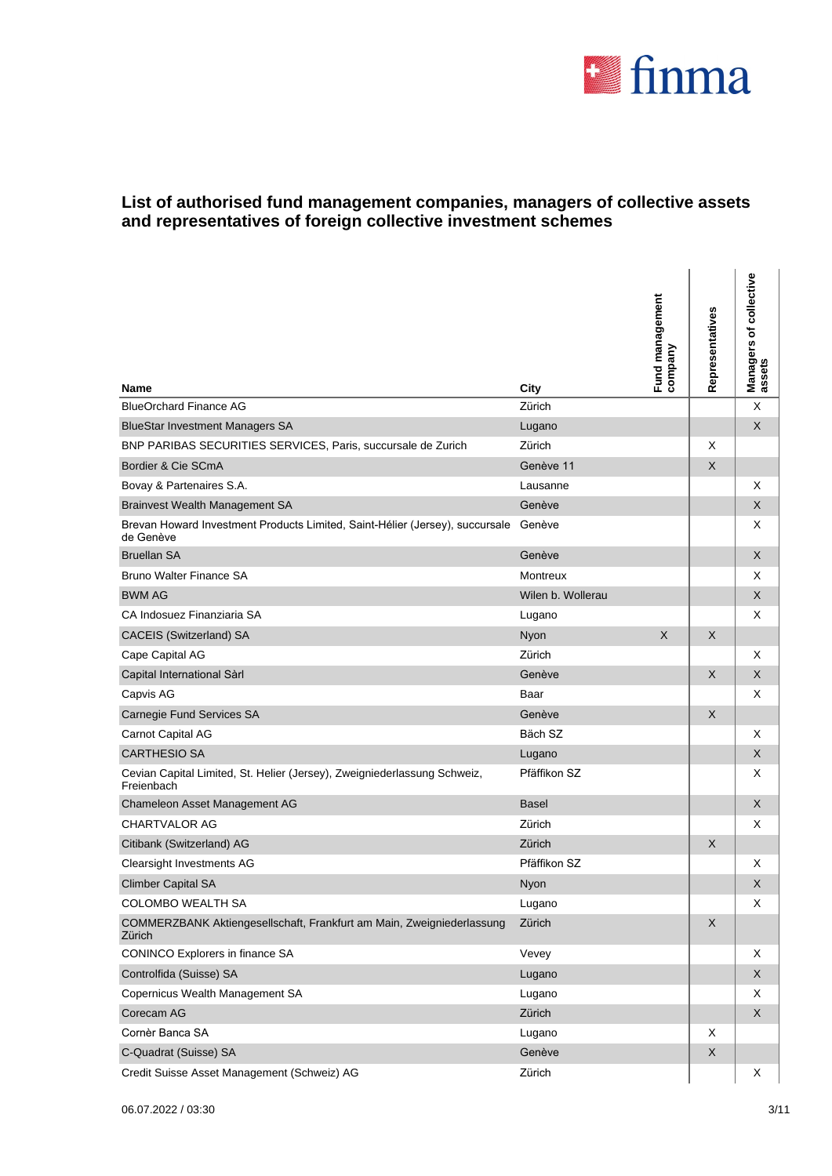

| <b>Name</b>                                                                               | City              | Fund management<br>company | Representatives | Managers of collective<br>assets |
|-------------------------------------------------------------------------------------------|-------------------|----------------------------|-----------------|----------------------------------|
| <b>BlueOrchard Finance AG</b>                                                             | Zürich            |                            |                 | X                                |
| <b>BlueStar Investment Managers SA</b>                                                    | Lugano            |                            |                 | X                                |
| BNP PARIBAS SECURITIES SERVICES, Paris, succursale de Zurich                              | Zürich            |                            | X               |                                  |
| Bordier & Cie SCmA                                                                        | Genève 11         |                            | X               |                                  |
| Bovay & Partenaires S.A.                                                                  | Lausanne          |                            |                 | Χ                                |
| <b>Brainvest Wealth Management SA</b>                                                     | Genève            |                            |                 | X                                |
| Brevan Howard Investment Products Limited, Saint-Hélier (Jersey), succursale<br>de Genève | Genève            |                            |                 | Χ                                |
| <b>Bruellan SA</b>                                                                        | Genève            |                            |                 | X                                |
| <b>Bruno Walter Finance SA</b>                                                            | <b>Montreux</b>   |                            |                 | Χ                                |
| <b>BWM AG</b>                                                                             | Wilen b. Wollerau |                            |                 | X                                |
| CA Indosuez Finanziaria SA                                                                | Lugano            |                            |                 | Χ                                |
| CACEIS (Switzerland) SA                                                                   | Nyon              | X                          | $\times$        |                                  |
| Cape Capital AG                                                                           | Zürich            |                            |                 | X                                |
| Capital International Sàrl                                                                | Genève            |                            | $\times$        | X                                |
| Capvis AG                                                                                 | Baar              |                            |                 | Χ                                |
| Carnegie Fund Services SA                                                                 | Genève            |                            | X               |                                  |
| Carnot Capital AG                                                                         | Bäch SZ           |                            |                 | Χ                                |
| <b>CARTHESIO SA</b>                                                                       | Lugano            |                            |                 | X                                |
| Cevian Capital Limited, St. Helier (Jersey), Zweigniederlassung Schweiz,<br>Freienbach    | Pfäffikon SZ      |                            |                 | X                                |
| Chameleon Asset Management AG                                                             | <b>Basel</b>      |                            |                 | X                                |
| <b>CHARTVALOR AG</b>                                                                      | Zürich            |                            |                 | X                                |
| Citibank (Switzerland) AG                                                                 | Zürich            |                            | X               |                                  |
| Clearsight Investments AG                                                                 | Pfäffikon SZ      |                            |                 | Χ                                |
| <b>Climber Capital SA</b>                                                                 | Nyon              |                            |                 | X                                |
| COLOMBO WEALTH SA                                                                         | Lugano            |                            |                 | X                                |
| COMMERZBANK Aktiengesellschaft, Frankfurt am Main, Zweigniederlassung<br>Zürich           | Zürich            |                            | $\mathsf X$     |                                  |
| CONINCO Explorers in finance SA                                                           | Vevey             |                            |                 | Х                                |
| Controlfida (Suisse) SA                                                                   | Lugano            |                            |                 | X                                |
| Copernicus Wealth Management SA                                                           | Lugano            |                            |                 | Χ                                |
| Corecam AG                                                                                | Zürich            |                            |                 | X                                |
| Cornèr Banca SA                                                                           | Lugano            |                            | X               |                                  |
| C-Quadrat (Suisse) SA                                                                     | Genève            |                            | $\mathsf X$     |                                  |
| Credit Suisse Asset Management (Schweiz) AG                                               | Zürich            |                            |                 | X                                |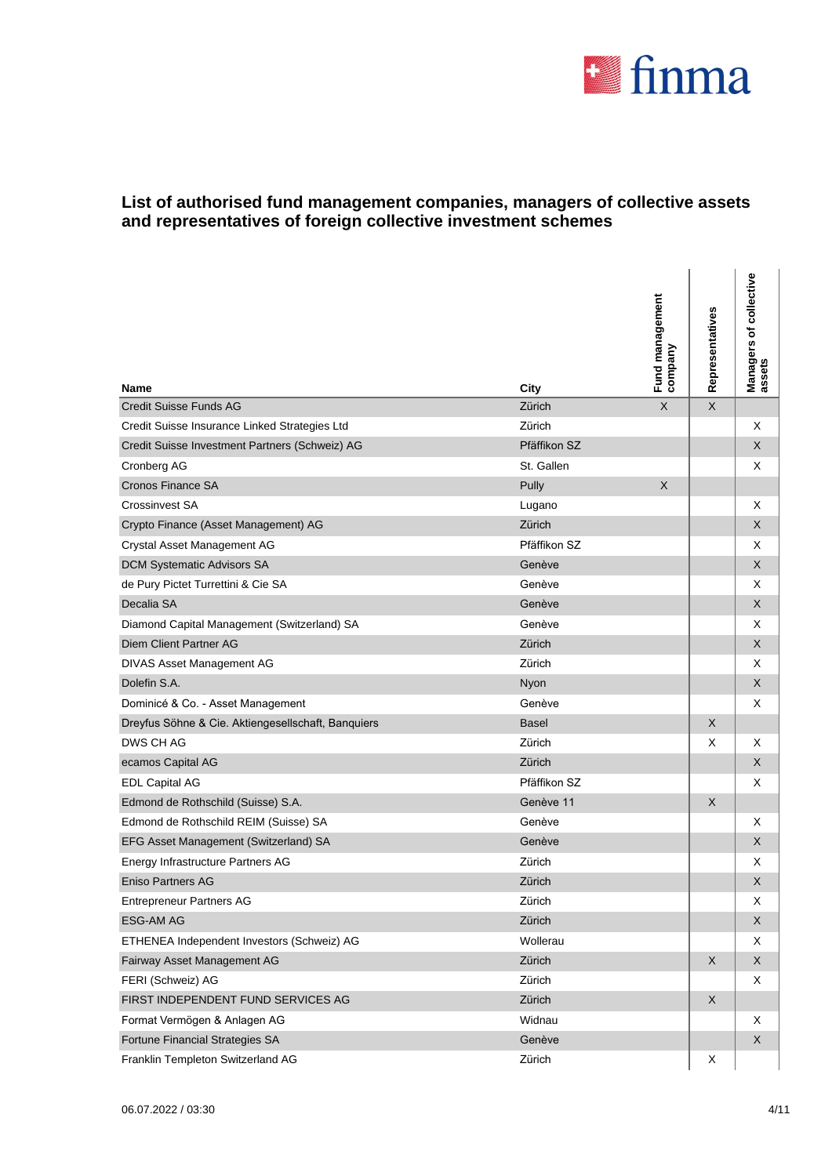

l.

| Name                                               | City         | Fund management<br>company | Representatives | Managers of collective<br>assets |
|----------------------------------------------------|--------------|----------------------------|-----------------|----------------------------------|
| <b>Credit Suisse Funds AG</b>                      | Zürich       | $\sf X$                    | $\mathsf{X}$    |                                  |
| Credit Suisse Insurance Linked Strategies Ltd      | Zürich       |                            |                 | Х                                |
| Credit Suisse Investment Partners (Schweiz) AG     | Pfäffikon SZ |                            |                 | X                                |
| Cronberg AG                                        | St. Gallen   |                            |                 | Х                                |
| Cronos Finance SA                                  | Pully        | X                          |                 |                                  |
| <b>Crossinvest SA</b>                              | Lugano       |                            |                 | х                                |
| Crypto Finance (Asset Management) AG               | Zürich       |                            |                 | X                                |
| Crystal Asset Management AG                        | Pfäffikon SZ |                            |                 | Х                                |
| DCM Systematic Advisors SA                         | Genève       |                            |                 | X                                |
| de Pury Pictet Turrettini & Cie SA                 | Genève       |                            |                 | х                                |
| Decalia SA                                         | Genève       |                            |                 | X                                |
| Diamond Capital Management (Switzerland) SA        | Genève       |                            |                 | Х                                |
| <b>Diem Client Partner AG</b>                      | Zürich       |                            |                 | X                                |
| DIVAS Asset Management AG                          | Zürich       |                            |                 | X                                |
| Dolefin S.A.                                       | Nyon         |                            |                 | X                                |
| Dominicé & Co. - Asset Management                  | Genève       |                            |                 | X                                |
| Dreyfus Söhne & Cie. Aktiengesellschaft, Banquiers | <b>Basel</b> |                            | $\mathsf{X}$    |                                  |
| DWS CH AG                                          | Zürich       |                            | X               | X                                |
| ecamos Capital AG                                  | Zürich       |                            |                 | X                                |
| <b>EDL Capital AG</b>                              | Pfäffikon SZ |                            |                 | X                                |
| Edmond de Rothschild (Suisse) S.A.                 | Genève 11    |                            | X               |                                  |
| Edmond de Rothschild REIM (Suisse) SA              | Genève       |                            |                 | X                                |
| EFG Asset Management (Switzerland) SA              | Genève       |                            |                 | X                                |
| Energy Infrastructure Partners AG                  | Zürich       |                            |                 | х                                |
| <b>Eniso Partners AG</b>                           | Zürich       |                            |                 | X                                |
| <b>Entrepreneur Partners AG</b>                    | Zürich       |                            |                 | х                                |
| <b>ESG-AM AG</b>                                   | Zürich       |                            |                 | X                                |
| ETHENEA Independent Investors (Schweiz) AG         | Wollerau     |                            |                 | X                                |
| Fairway Asset Management AG                        | Zürich       |                            | X               | X                                |
| FERI (Schweiz) AG                                  | Zürich       |                            |                 | X                                |
| FIRST INDEPENDENT FUND SERVICES AG                 | Zürich       |                            | $\mathsf X$     |                                  |
| Format Vermögen & Anlagen AG                       | Widnau       |                            |                 | Х                                |
| Fortune Financial Strategies SA                    | Genève       |                            |                 | X                                |
| Franklin Templeton Switzerland AG                  | Zürich       |                            | X               |                                  |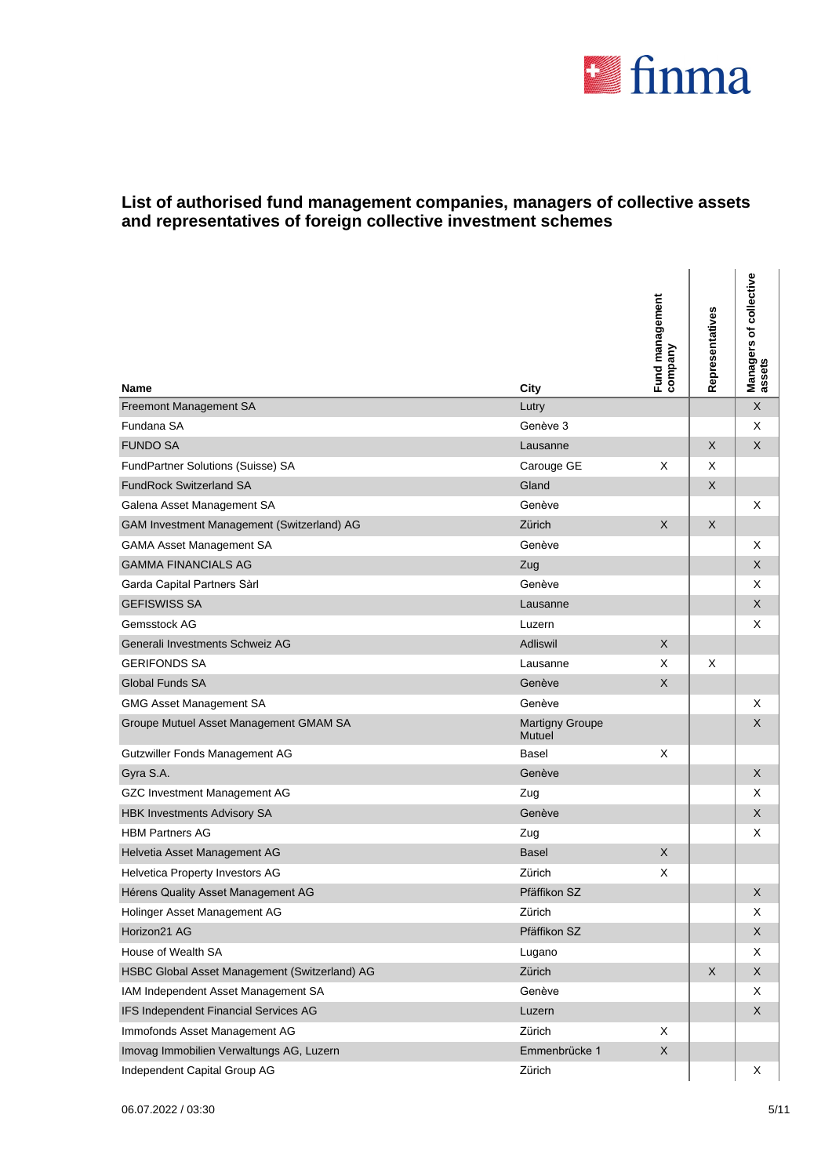

J.

| <b>Name</b>                                   | City                             | Fund management<br>company | Representatives | Managers of collective<br>assets |
|-----------------------------------------------|----------------------------------|----------------------------|-----------------|----------------------------------|
| Freemont Management SA                        | Lutry                            |                            |                 | X                                |
| Fundana SA                                    | Genève 3                         |                            |                 | Χ                                |
| <b>FUNDO SA</b>                               | Lausanne                         |                            | $\mathsf{X}$    | X                                |
| FundPartner Solutions (Suisse) SA             | Carouge GE                       | Χ                          | X               |                                  |
| <b>FundRock Switzerland SA</b>                | Gland                            |                            | $\mathsf{X}$    |                                  |
| Galena Asset Management SA                    | Genève                           |                            |                 | Χ                                |
| GAM Investment Management (Switzerland) AG    | Zürich                           | X                          | X               |                                  |
| <b>GAMA Asset Management SA</b>               | Genève                           |                            |                 | Χ                                |
| <b>GAMMA FINANCIALS AG</b>                    | Zug                              |                            |                 | X                                |
| Garda Capital Partners Sàrl                   | Genève                           |                            |                 | Χ                                |
| <b>GEFISWISS SA</b>                           | Lausanne                         |                            |                 | X                                |
| Gemsstock AG                                  | Luzern                           |                            |                 | Χ                                |
| Generali Investments Schweiz AG               | Adliswil                         | X                          |                 |                                  |
| <b>GERIFONDS SA</b>                           | Lausanne                         | X                          | X               |                                  |
| Global Funds SA                               | Genève                           | X                          |                 |                                  |
| <b>GMG Asset Management SA</b>                | Genève                           |                            |                 | Χ                                |
| Groupe Mutuel Asset Management GMAM SA        | <b>Martigny Groupe</b><br>Mutuel |                            |                 | X                                |
| Gutzwiller Fonds Management AG                | <b>Basel</b>                     | X                          |                 |                                  |
| Gyra S.A.                                     | Genève                           |                            |                 | X                                |
| GZC Investment Management AG                  | Zug                              |                            |                 | Χ                                |
| <b>HBK Investments Advisory SA</b>            | Genève                           |                            |                 | X                                |
| <b>HBM Partners AG</b>                        | Zug                              |                            |                 | X                                |
| Helvetia Asset Management AG                  | <b>Basel</b>                     | X                          |                 |                                  |
| Helvetica Property Investors AG               | Zürich                           | Χ                          |                 |                                  |
| Hérens Quality Asset Management AG            | Pfäffikon SZ                     |                            |                 | X                                |
| Holinger Asset Management AG                  | Zürich                           |                            |                 | X                                |
| Horizon21 AG                                  | Pfäffikon SZ                     |                            |                 | X                                |
| House of Wealth SA                            | Lugano                           |                            |                 | Х                                |
| HSBC Global Asset Management (Switzerland) AG | Zürich                           |                            | $\mathsf X$     | $\mathsf X$                      |
| IAM Independent Asset Management SA           | Genève                           |                            |                 | X                                |
| IFS Independent Financial Services AG         | Luzern                           |                            |                 | X                                |
| Immofonds Asset Management AG                 | Zürich                           | X                          |                 |                                  |
| Imovag Immobilien Verwaltungs AG, Luzern      | Emmenbrücke 1                    | X                          |                 |                                  |
| Independent Capital Group AG                  | Zürich                           |                            |                 | X                                |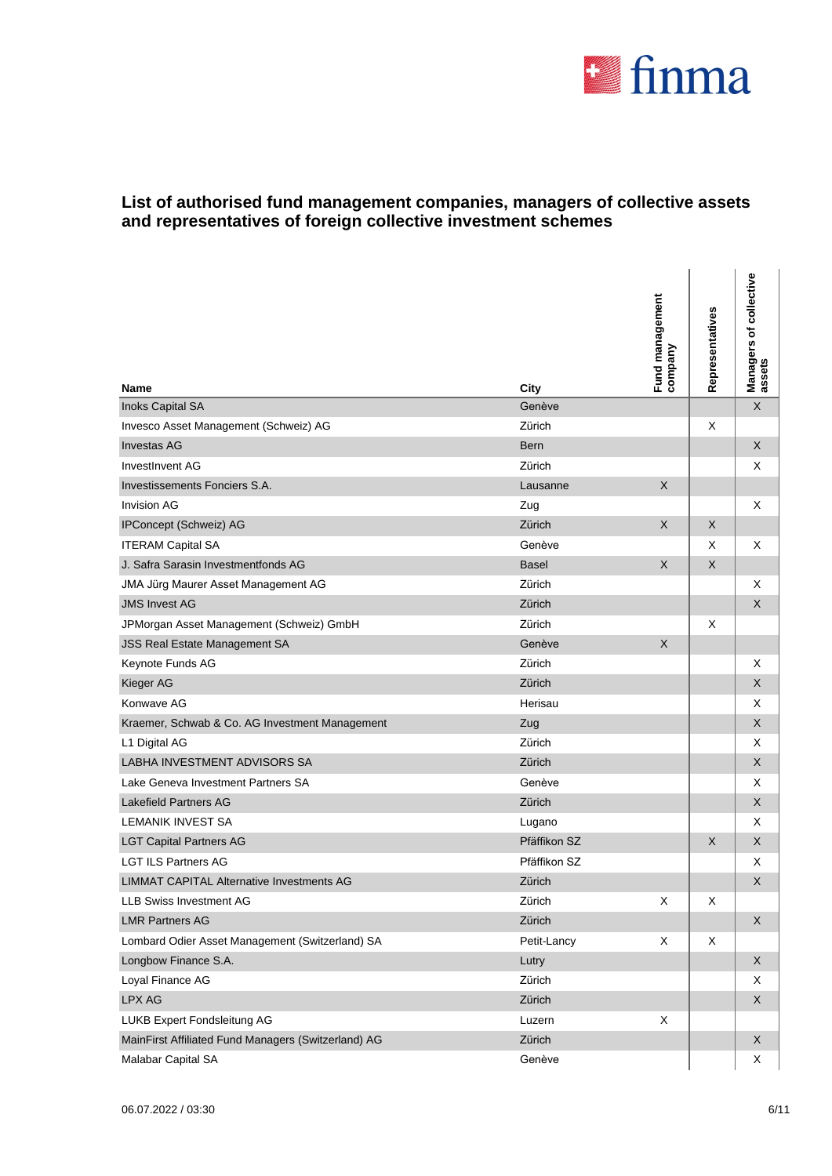

| <b>Name</b>                                         | City         | Fund management<br>company | Representatives | Managers of collective<br>assets |
|-----------------------------------------------------|--------------|----------------------------|-----------------|----------------------------------|
| Inoks Capital SA                                    | Genève       |                            |                 | $\boldsymbol{\mathsf{X}}$        |
| Invesco Asset Management (Schweiz) AG               | Zürich       |                            | X               |                                  |
| <b>Investas AG</b>                                  | <b>Bern</b>  |                            |                 | X                                |
| InvestInvent AG                                     | Zürich       |                            |                 | X                                |
| Investissements Fonciers S.A.                       | Lausanne     | X                          |                 |                                  |
| <b>Invision AG</b>                                  | Zug          |                            |                 | Χ                                |
| IPConcept (Schweiz) AG                              | Zürich       | X                          | $\mathsf{X}$    |                                  |
| <b>ITERAM Capital SA</b>                            | Genève       |                            | X               | X                                |
| J. Safra Sarasin Investmentfonds AG                 | <b>Basel</b> | X                          | $\times$        |                                  |
| JMA Jürg Maurer Asset Management AG                 | Zürich       |                            |                 | Χ                                |
| <b>JMS Invest AG</b>                                | Zürich       |                            |                 | X                                |
| JPMorgan Asset Management (Schweiz) GmbH            | Zürich       |                            | х               |                                  |
| <b>JSS Real Estate Management SA</b>                | Genève       | X                          |                 |                                  |
| Keynote Funds AG                                    | Zürich       |                            |                 | X                                |
| Kieger AG                                           | Zürich       |                            |                 | X                                |
| Konwave AG                                          | Herisau      |                            |                 | X                                |
| Kraemer, Schwab & Co. AG Investment Management      | Zug          |                            |                 | X                                |
| L1 Digital AG                                       | Zürich       |                            |                 | X                                |
| LABHA INVESTMENT ADVISORS SA                        | Zürich       |                            |                 | X                                |
| Lake Geneva Investment Partners SA                  | Genève       |                            |                 | X                                |
| <b>Lakefield Partners AG</b>                        | Zürich       |                            |                 | X                                |
| <b>LEMANIK INVEST SA</b>                            | Lugano       |                            |                 | X                                |
| <b>LGT Capital Partners AG</b>                      | Pfäffikon SZ |                            | X               | X                                |
| <b>LGT ILS Partners AG</b>                          | Pfäffikon SZ |                            |                 | Χ                                |
| <b>LIMMAT CAPITAL Alternative Investments AG</b>    | Zürich       |                            |                 | X                                |
| LLB Swiss Investment AG                             | Zürich       | X                          | X               |                                  |
| <b>LMR Partners AG</b>                              | Zürich       |                            |                 | X                                |
| Lombard Odier Asset Management (Switzerland) SA     | Petit-Lancy  | X                          | X               |                                  |
| Longbow Finance S.A.                                | Lutry        |                            |                 | $\mathsf X$                      |
| Loyal Finance AG                                    | Zürich       |                            |                 | X                                |
| LPX AG                                              | Zürich       |                            |                 | $\mathsf X$                      |
| LUKB Expert Fondsleitung AG                         | Luzern       | X                          |                 |                                  |
| MainFirst Affiliated Fund Managers (Switzerland) AG | Zürich       |                            |                 | X                                |
| Malabar Capital SA                                  | Genève       |                            |                 | X                                |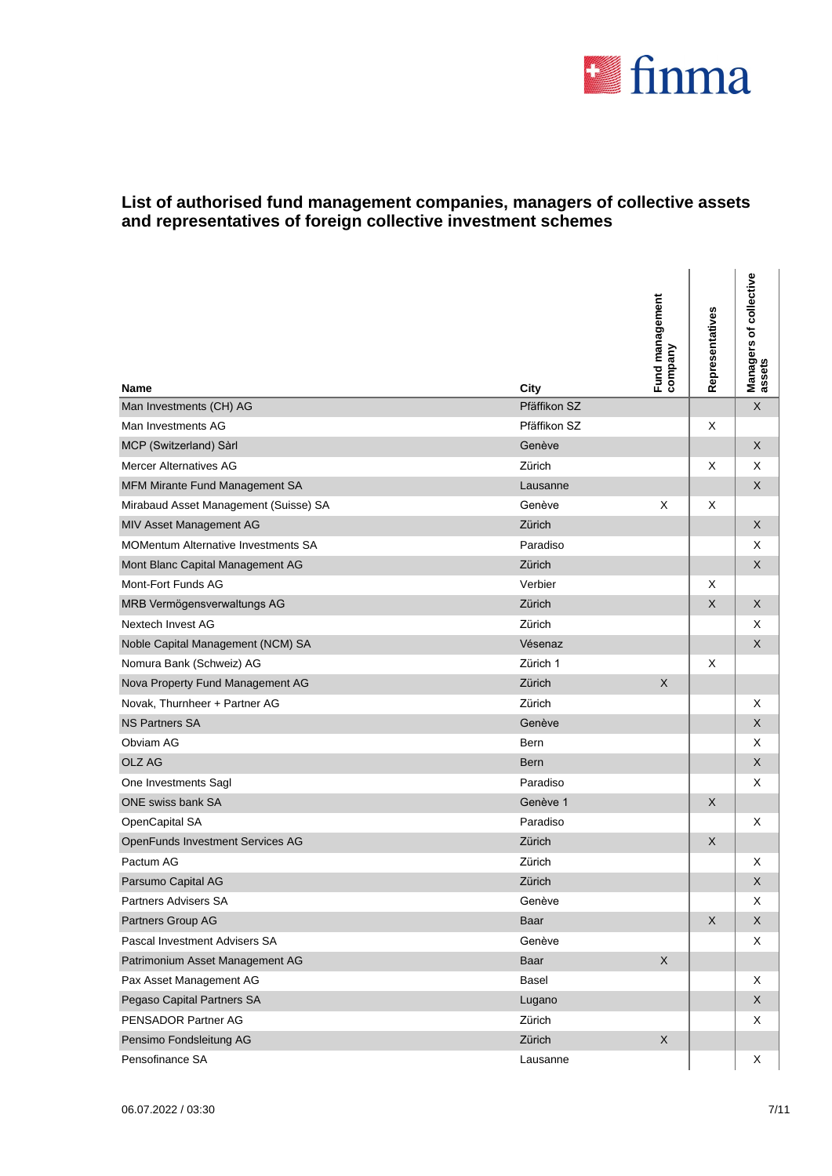

| Name                                       | City         | Fund management<br>company | Representatives | Managers of collective<br>assets |
|--------------------------------------------|--------------|----------------------------|-----------------|----------------------------------|
| Man Investments (CH) AG                    | Pfäffikon SZ |                            |                 | $\mathsf X$                      |
| Man Investments AG                         | Pfäffikon SZ |                            | X               |                                  |
| MCP (Switzerland) Sàrl                     | Genève       |                            |                 | X                                |
| <b>Mercer Alternatives AG</b>              | Zürich       |                            | X               | Х                                |
| MFM Mirante Fund Management SA             | Lausanne     |                            |                 | X                                |
| Mirabaud Asset Management (Suisse) SA      | Genève       | X                          | X               |                                  |
| MIV Asset Management AG                    | Zürich       |                            |                 | X                                |
| <b>MOMentum Alternative Investments SA</b> | Paradiso     |                            |                 | X                                |
| Mont Blanc Capital Management AG           | Zürich       |                            |                 | X                                |
| Mont-Fort Funds AG                         | Verbier      |                            | X               |                                  |
| MRB Vermögensverwaltungs AG                | Zürich       |                            | $\mathsf X$     | X                                |
| Nextech Invest AG                          | Zürich       |                            |                 | X                                |
| Noble Capital Management (NCM) SA          | Vésenaz      |                            |                 | X                                |
| Nomura Bank (Schweiz) AG                   | Zürich 1     |                            | х               |                                  |
| Nova Property Fund Management AG           | Zürich       | X                          |                 |                                  |
| Novak, Thurnheer + Partner AG              | Zürich       |                            |                 | X                                |
| <b>NS Partners SA</b>                      | Genève       |                            |                 | X                                |
| Obviam AG                                  | Bern         |                            |                 | Χ                                |
| OLZ AG                                     | <b>Bern</b>  |                            |                 | X                                |
| One Investments Sagl                       | Paradiso     |                            |                 | X                                |
| ONE swiss bank SA                          | Genève 1     |                            | $\times$        |                                  |
| OpenCapital SA                             | Paradiso     |                            |                 | X                                |
| OpenFunds Investment Services AG           | Zürich       |                            | X               |                                  |
| Pactum AG                                  | Zürich       |                            |                 | Χ                                |
| Parsumo Capital AG                         | Zürich       |                            |                 | X                                |
| Partners Advisers SA                       | Genève       |                            |                 | X                                |
| Partners Group AG                          | Baar         |                            | $\mathsf X$     | X                                |
| Pascal Investment Advisers SA              | Genève       |                            |                 | X                                |
| Patrimonium Asset Management AG            | Baar         | X                          |                 |                                  |
| Pax Asset Management AG                    | Basel        |                            |                 | Χ                                |
| Pegaso Capital Partners SA                 | Lugano       |                            |                 | X                                |
| PENSADOR Partner AG                        | Zürich       |                            |                 | X                                |
| Pensimo Fondsleitung AG                    | Zürich       | $\mathsf X$                |                 |                                  |
| Pensofinance SA                            | Lausanne     |                            |                 | X                                |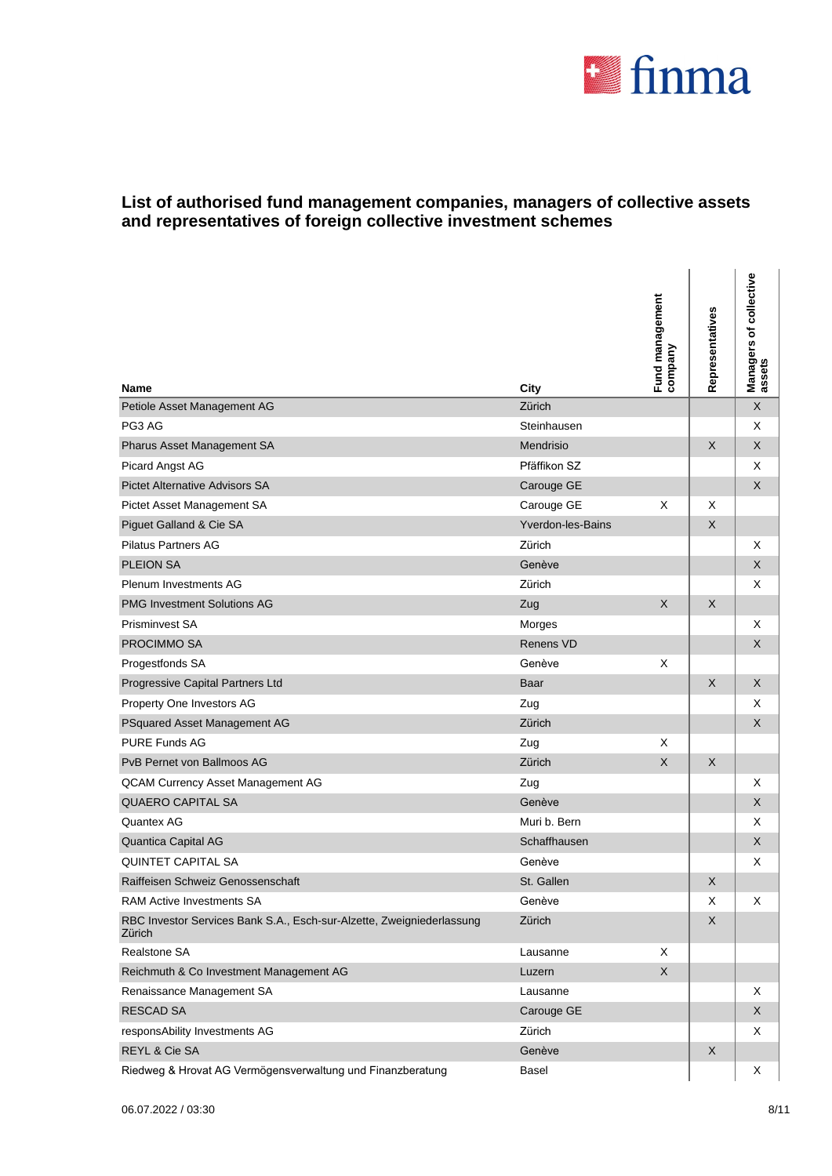

| <b>Name</b>                                                                     | City              | Fund management<br>company | Representatives | Managers of collective<br>assets |
|---------------------------------------------------------------------------------|-------------------|----------------------------|-----------------|----------------------------------|
| Petiole Asset Management AG                                                     | Zürich            |                            |                 | $\mathsf X$                      |
| PG3 AG                                                                          | Steinhausen       |                            |                 | Χ                                |
| Pharus Asset Management SA                                                      | Mendrisio         |                            | $\mathsf{X}$    | X                                |
| Picard Angst AG                                                                 | Pfäffikon SZ      |                            |                 | Χ                                |
| <b>Pictet Alternative Advisors SA</b>                                           | Carouge GE        |                            |                 | X                                |
| Pictet Asset Management SA                                                      | Carouge GE        | X                          | X               |                                  |
| Piguet Galland & Cie SA                                                         | Yverdon-les-Bains |                            | $\times$        |                                  |
| <b>Pilatus Partners AG</b>                                                      | Zürich            |                            |                 | X                                |
| <b>PLEION SA</b>                                                                | Genève            |                            |                 | X                                |
| <b>Plenum Investments AG</b>                                                    | Zürich            |                            |                 | Χ                                |
| <b>PMG Investment Solutions AG</b>                                              | Zug               | $\mathsf{X}$               | X               |                                  |
| Prisminvest SA                                                                  | Morges            |                            |                 | Χ                                |
| PROCIMMO SA                                                                     | <b>Renens VD</b>  |                            |                 | X                                |
| Progestfonds SA                                                                 | Genève            | X                          |                 |                                  |
| Progressive Capital Partners Ltd                                                | Baar              |                            | X               | X                                |
| Property One Investors AG                                                       | Zug               |                            |                 | X                                |
| PSquared Asset Management AG                                                    | Zürich            |                            |                 | X                                |
| <b>PURE Funds AG</b>                                                            | Zug               | X                          |                 |                                  |
| PvB Pernet von Ballmoos AG                                                      | Zürich            | $\mathsf X$                | X               |                                  |
| QCAM Currency Asset Management AG                                               | Zug               |                            |                 | X                                |
| <b>QUAERO CAPITAL SA</b>                                                        | Genève            |                            |                 | X                                |
| Quantex AG                                                                      | Muri b. Bern      |                            |                 | X                                |
| Quantica Capital AG                                                             | Schaffhausen      |                            |                 | X                                |
| <b>QUINTET CAPITAL SA</b>                                                       | Genève            |                            |                 | Χ                                |
| Raiffeisen Schweiz Genossenschaft                                               | St. Gallen        |                            | X               |                                  |
| <b>RAM Active Investments SA</b>                                                | Genève            |                            | X               | Χ                                |
| RBC Investor Services Bank S.A., Esch-sur-Alzette, Zweigniederlassung<br>Zürich | Zürich            |                            | X               |                                  |
| Realstone SA                                                                    | Lausanne          | Χ                          |                 |                                  |
| Reichmuth & Co Investment Management AG                                         | Luzern            | X                          |                 |                                  |
| Renaissance Management SA                                                       | Lausanne          |                            |                 | Χ                                |
| <b>RESCAD SA</b>                                                                | Carouge GE        |                            |                 | X                                |
| responsAbility Investments AG                                                   | Zürich            |                            |                 | Χ                                |
| REYL & Cie SA                                                                   | Genève            |                            | X               |                                  |
| Riedweg & Hrovat AG Vermögensverwaltung und Finanzberatung                      | Basel             |                            |                 | X                                |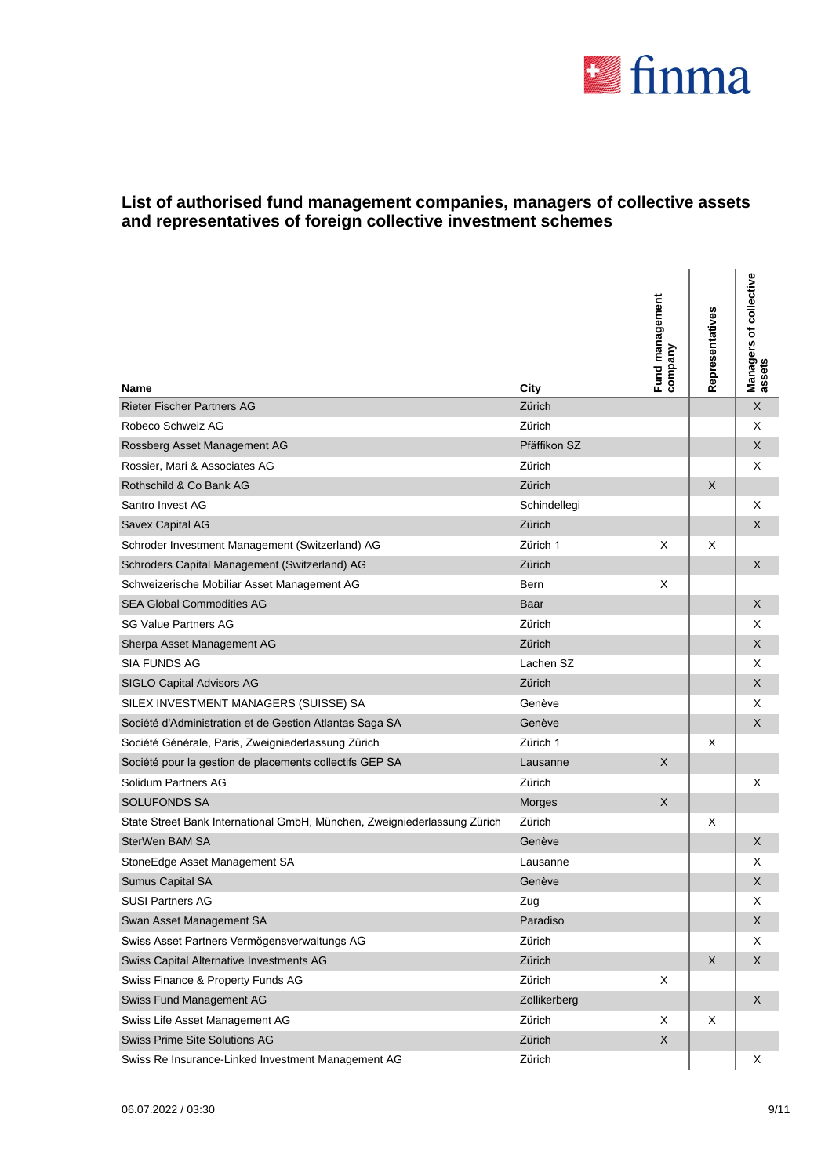

| Name                                                                     | City         | Fund management<br>company | Representatives | Managers of collective<br>assets |
|--------------------------------------------------------------------------|--------------|----------------------------|-----------------|----------------------------------|
| <b>Rieter Fischer Partners AG</b>                                        | Zürich       |                            |                 | $\sf X$                          |
| Robeco Schweiz AG                                                        | Zürich       |                            |                 | X                                |
| Rossberg Asset Management AG                                             | Pfäffikon SZ |                            |                 | X                                |
| Rossier, Mari & Associates AG                                            | Zürich       |                            |                 | X                                |
| Rothschild & Co Bank AG                                                  | Zürich       |                            | X               |                                  |
| Santro Invest AG                                                         | Schindellegi |                            |                 | X                                |
| Savex Capital AG                                                         | Zürich       |                            |                 | X                                |
| Schroder Investment Management (Switzerland) AG                          | Zürich 1     | X                          | X               |                                  |
| Schroders Capital Management (Switzerland) AG                            | Zürich       |                            |                 | X                                |
| Schweizerische Mobiliar Asset Management AG                              | Bern         | X                          |                 |                                  |
| <b>SEA Global Commodities AG</b>                                         | Baar         |                            |                 | X                                |
| <b>SG Value Partners AG</b>                                              | Zürich       |                            |                 | X                                |
| Sherpa Asset Management AG                                               | Zürich       |                            |                 | X                                |
| <b>SIA FUNDS AG</b>                                                      | Lachen SZ    |                            |                 | Χ                                |
| SIGLO Capital Advisors AG                                                | Zürich       |                            |                 | X                                |
| SILEX INVESTMENT MANAGERS (SUISSE) SA                                    | Genève       |                            |                 | Χ                                |
| Société d'Administration et de Gestion Atlantas Saga SA                  | Genève       |                            |                 | X                                |
| Société Générale, Paris, Zweigniederlassung Zürich                       | Zürich 1     |                            | х               |                                  |
| Société pour la gestion de placements collectifs GEP SA                  | Lausanne     | X                          |                 |                                  |
| Solidum Partners AG                                                      | Zürich       |                            |                 | X                                |
| <b>SOLUFONDS SA</b>                                                      | Morges       | X                          |                 |                                  |
| State Street Bank International GmbH, München, Zweigniederlassung Zürich | Zürich       |                            | X               |                                  |
| SterWen BAM SA                                                           | Genève       |                            |                 | X                                |
| StoneEdge Asset Management SA                                            | Lausanne     |                            |                 | Х                                |
| <b>Sumus Capital SA</b>                                                  | Genève       |                            |                 | X                                |
| <b>SUSI Partners AG</b>                                                  | Zug          |                            |                 | Χ                                |
| Swan Asset Management SA                                                 | Paradiso     |                            |                 | X                                |
| Swiss Asset Partners Vermögensverwaltungs AG                             | Zürich       |                            |                 | Χ                                |
| Swiss Capital Alternative Investments AG                                 | Zürich       |                            | X               | X                                |
| Swiss Finance & Property Funds AG                                        | Zürich       | Χ                          |                 |                                  |
| Swiss Fund Management AG                                                 | Zollikerberg |                            |                 | $\boldsymbol{\mathsf{X}}$        |
| Swiss Life Asset Management AG                                           | Zürich       | Χ                          | X               |                                  |
| Swiss Prime Site Solutions AG                                            | Zürich       | X                          |                 |                                  |
| Swiss Re Insurance-Linked Investment Management AG                       | Zürich       |                            |                 | X                                |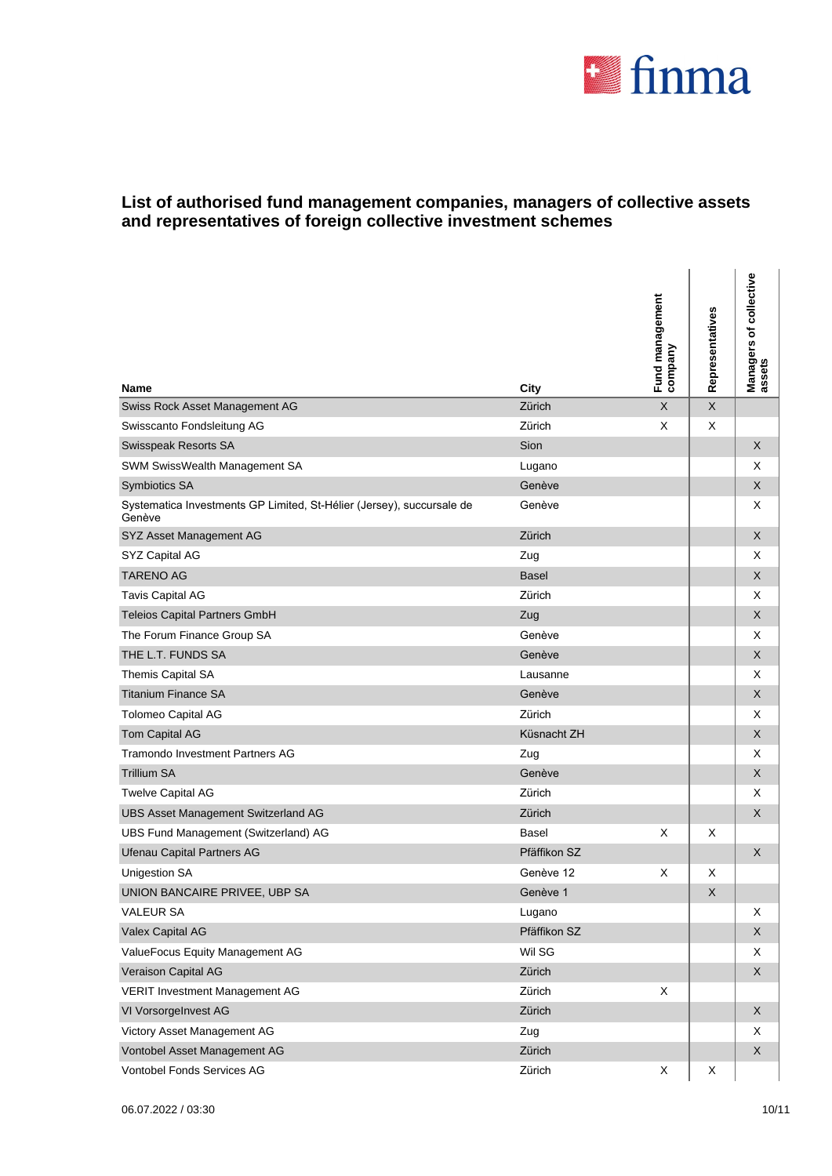

l.

| <b>Name</b>                                                                     | City         | Fund management<br>company | Representatives | Managers of collective<br>assets |
|---------------------------------------------------------------------------------|--------------|----------------------------|-----------------|----------------------------------|
| Swiss Rock Asset Management AG                                                  | Zürich       | $\boldsymbol{\mathsf{X}}$  | $\mathsf X$     |                                  |
| Swisscanto Fondsleitung AG                                                      | Zürich       | X                          | X               |                                  |
| Swisspeak Resorts SA                                                            | Sion         |                            |                 | X                                |
| SWM SwissWealth Management SA                                                   | Lugano       |                            |                 | Χ                                |
| Symbiotics SA                                                                   | Genève       |                            |                 | X                                |
| Systematica Investments GP Limited, St-Hélier (Jersey), succursale de<br>Genève | Genève       |                            |                 | Χ                                |
| SYZ Asset Management AG                                                         | Zürich       |                            |                 | X                                |
| SYZ Capital AG                                                                  | Zug          |                            |                 | Χ                                |
| <b>TARENO AG</b>                                                                | <b>Basel</b> |                            |                 | X                                |
| <b>Tavis Capital AG</b>                                                         | Zürich       |                            |                 | X                                |
| <b>Teleios Capital Partners GmbH</b>                                            | Zug          |                            |                 | X                                |
| The Forum Finance Group SA                                                      | Genève       |                            |                 | Χ                                |
| THE L.T. FUNDS SA                                                               | Genève       |                            |                 | X                                |
| Themis Capital SA                                                               | Lausanne     |                            |                 | Χ                                |
| <b>Titanium Finance SA</b>                                                      | Genève       |                            |                 | X                                |
| Tolomeo Capital AG                                                              | Zürich       |                            |                 | Χ                                |
| Tom Capital AG                                                                  | Küsnacht ZH  |                            |                 | X                                |
| <b>Tramondo Investment Partners AG</b>                                          | Zug          |                            |                 | Χ                                |
| <b>Trillium SA</b>                                                              | Genève       |                            |                 | X                                |
| <b>Twelve Capital AG</b>                                                        | Zürich       |                            |                 | Χ                                |
| <b>UBS Asset Management Switzerland AG</b>                                      | Zürich       |                            |                 | X                                |
| UBS Fund Management (Switzerland) AG                                            | Basel        | X                          | X               |                                  |
| <b>Ufenau Capital Partners AG</b>                                               | Pfäffikon SZ |                            |                 | X                                |
| <b>Unigestion SA</b>                                                            | Genève 12    | X                          | X               |                                  |
| UNION BANCAIRE PRIVEE, UBP SA                                                   | Genève 1     |                            | X               |                                  |
| <b>VALEUR SA</b>                                                                | Lugano       |                            |                 | Χ                                |
| Valex Capital AG                                                                | Pfäffikon SZ |                            |                 | X                                |
| ValueFocus Equity Management AG                                                 | Wil SG       |                            |                 | X                                |
| Veraison Capital AG                                                             | Zürich       |                            |                 | X                                |
| VERIT Investment Management AG                                                  | Zürich       | X                          |                 |                                  |
| VI VorsorgeInvest AG                                                            | Zürich       |                            |                 | $\mathsf X$                      |
| Victory Asset Management AG                                                     | Zug          |                            |                 | Χ                                |
| Vontobel Asset Management AG                                                    | Zürich       |                            |                 | X                                |
| Vontobel Fonds Services AG                                                      | Zürich       | X                          | X               |                                  |